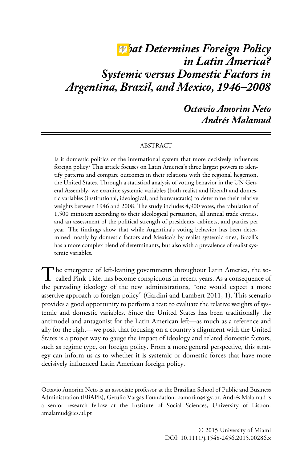# *What Determines Foreign Policy in Latin America? Systemic versus Domestic Factors in Argentina, Brazil, and Mexico, 1946–2008*

*Octavio Amorim Neto Andrés Malamud*

#### ABSTRACT

Is it domestic politics or the international system that more decisively influences foreign policy? This article focuses on Latin America's three largest powers to identify patterns and compare outcomes in their relations with the regional hegemon, the United States. Through a statistical analysis of voting behavior in the UN General Assembly, we examine systemic variables (both realist and liberal) and domestic variables (institutional, ideological, and bureaucratic) to determine their relative weights between 1946 and 2008. The study includes 4,900 votes, the tabulation of 1,500 ministers according to their ideological persuasion, all annual trade entries, and an assessment of the political strength of presidents, cabinets, and parties per year. The findings show that while Argentina's voting behavior has been determined mostly by domestic factors and Mexico's by realist systemic ones, Brazil's has a more complex blend of determinants, but also with a prevalence of realist systemic variables.

The emergence of left-leaning governments throughout Latin America, the so-<br>called Pink Tide, has become conspicuous in recent years. As a consequence of the pervading ideology of the new administrations, "one would expect a more assertive approach to foreign policy" (Gardini and Lambert 2011, 1). This scenario provides a good opportunity to perform a test: to evaluate the relative weights of systemic and domestic variables. Since the United States has been traditionally the antimodel and antagonist for the Latin American left—as much as a reference and ally for the right—we posit that focusing on a country's alignment with the United States is a proper way to gauge the impact of ideology and related domestic factors, such as regime type, on foreign policy. From a more general perspective, this strategy can inform us as to whether it is systemic or domestic forces that have more decisively influenced Latin American foreign policy.

Octavio Amorim Neto is an associate professor at the Brazilian School of Public and Business Administration (EBAPE), Getúlio Vargas Foundation. oamorim@fgv.br. Andrés Malamud is a senior research fellow at the Institute of Social Sciences, University of Lisbon. amalamud@ics.ul.pt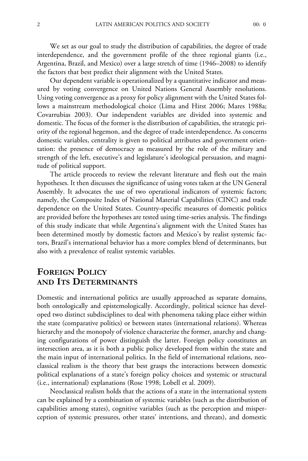We set as our goal to study the distribution of capabilities, the degree of trade interdependence, and the government profile of the three regional giants (i.e., Argentina, Brazil, and Mexico) over a large stretch of time (1946–2008) to identify the factors that best predict their alignment with the United States.

Our dependent variable is operationalized by a quantitative indicator and measured by voting convergence on United Nations General Assembly resolutions. Using voting convergence as a proxy for policy alignment with the United States follows a mainstream methodological choice (Lima and Hirst 2006; Mares 1988a; Covarrubias 2003). Our independent variables are divided into systemic and domestic. The focus of the former is the distribution of capabilities, the strategic priority of the regional hegemon, and the degree of trade interdependence. As concerns domestic variables, centrality is given to political attributes and government orientation: the presence of democracy as measured by the role of the military and strength of the left, executive's and legislature's ideological persuasion, and magnitude of political support.

The article proceeds to review the relevant literature and flesh out the main hypotheses. It then discusses the significance of using votes taken at the UN General Assembly. It advocates the use of two operational indicators of systemic factors; namely, the Composite Index of National Material Capabilities (CINC) and trade dependence on the United States. Country-specific measures of domestic politics are provided before the hypotheses are tested using time-series analysis. The findings of this study indicate that while Argentina's alignment with the United States has been determined mostly by domestic factors and Mexico's by realist systemic factors, Brazil's international behavior has a more complex blend of determinants, but also with a prevalence of realist systemic variables.

# **FOREIGN POLICY AND ITS DETERMINANTS**

Domestic and international politics are usually approached as separate domains, both ontologically and epistemologically. Accordingly, political science has developed two distinct subdisciplines to deal with phenomena taking place either within the state (comparative politics) or between states (international relations). Whereas hierarchy and the monopoly of violence characterize the former, anarchy and changing configurations of power distinguish the latter. Foreign policy constitutes an intersection area, as it is both a public policy developed from within the state and the main input of international politics. In the field of international relations, neoclassical realism is the theory that best grasps the interactions between domestic political explanations of a state's foreign policy choices and systemic or structural (i.e., international) explanations (Rose 1998; Lobell et al. 2009).

Neoclassical realism holds that the actions of a state in the international system can be explained by a combination of systemic variables (such as the distribution of capabilities among states), cognitive variables (such as the perception and misperception of systemic pressures, other states' intentions, and threats), and domestic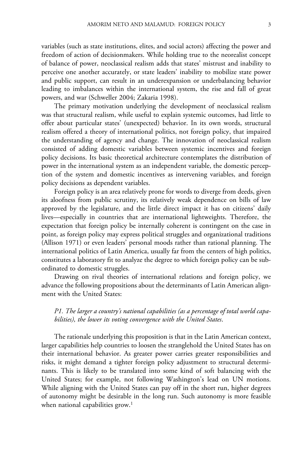variables (such as state institutions, elites, and social actors) affecting the power and freedom of action of decisionmakers. While holding true to the neorealist concept of balance of power, neoclassical realism adds that states' mistrust and inability to perceive one another accurately, or state leaders' inability to mobilize state power and public support, can result in an underexpansion or underbalancing behavior leading to imbalances within the international system, the rise and fall of great powers, and war (Schweller 2004; Zakaria 1998).

The primary motivation underlying the development of neoclassical realism was that structural realism, while useful to explain systemic outcomes, had little to offer about particular states' (unexpected) behavior. In its own words, structural realism offered a theory of international politics, not foreign policy, that impaired the understanding of agency and change. The innovation of neoclassical realism consisted of adding domestic variables between systemic incentives and foreign policy decisions. Its basic theoretical architecture contemplates the distribution of power in the international system as an independent variable, the domestic perception of the system and domestic incentives as intervening variables, and foreign policy decisions as dependent variables.

Foreign policy is an area relatively prone for words to diverge from deeds, given its aloofness from public scrutiny, its relatively weak dependence on bills of law approved by the legislature, and the little direct impact it has on citizens' daily lives—especially in countries that are international lightweights. Therefore, the expectation that foreign policy be internally coherent is contingent on the case in point, as foreign policy may express political struggles and organizational traditions (Allison 1971) or even leaders' personal moods rather than rational planning. The international politics of Latin America, usually far from the centers of high politics, constitutes a laboratory fit to analyze the degree to which foreign policy can be subordinated to domestic struggles.

Drawing on rival theories of international relations and foreign policy, we advance the following propositions about the determinants of Latin American alignment with the United States:

#### *P1. The larger a country's national capabilities (as a percentage of total world capabilities), the lower its voting convergence with the United States*.

The rationale underlying this proposition is that in the Latin American context, larger capabilities help countries to loosen the stranglehold the United States has on their international behavior. As greater power carries greater responsibilities and risks, it might demand a tighter foreign policy adjustment to structural determinants. This is likely to be translated into some kind of soft balancing with the United States; for example, not following Washington's lead on UN motions. While aligning with the United States can pay off in the short run, higher degrees of autonomy might be desirable in the long run. Such autonomy is more feasible when national capabilities grow.<sup>1</sup>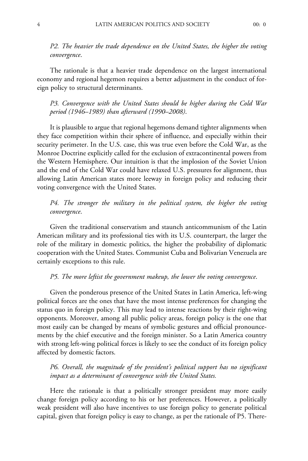*P2. The heavier the trade dependence on the United States, the higher the voting convergence*.

The rationale is that a heavier trade dependence on the largest international economy and regional hegemon requires a better adjustment in the conduct of foreign policy to structural determinants.

*P3. Convergence with the United States should be higher during the Cold War period (1946–1989) than afterward (1990–2008)*.

It is plausible to argue that regional hegemons demand tighter alignments when they face competition within their sphere of influence, and especially within their security perimeter. In the U.S. case, this was true even before the Cold War, as the Monroe Doctrine explicitly called for the exclusion of extracontinental powers from the Western Hemisphere. Our intuition is that the implosion of the Soviet Union and the end of the Cold War could have relaxed U.S. pressures for alignment, thus allowing Latin American states more leeway in foreign policy and reducing their voting convergence with the United States.

*P4. The stronger the military in the political system, the higher the voting convergence*.

Given the traditional conservatism and staunch anticommunism of the Latin American military and its professional ties with its U.S. counterpart, the larger the role of the military in domestic politics, the higher the probability of diplomatic cooperation with the United States. Communist Cuba and Bolivarian Venezuela are certainly exceptions to this rule.

#### *P5. The more leftist the government makeup, the lower the voting convergence*.

Given the ponderous presence of the United States in Latin America, left-wing political forces are the ones that have the most intense preferences for changing the status quo in foreign policy. This may lead to intense reactions by their right-wing opponents. Moreover, among all public policy areas, foreign policy is the one that most easily can be changed by means of symbolic gestures and official pronouncements by the chief executive and the foreign minister. So a Latin America country with strong left-wing political forces is likely to see the conduct of its foreign policy affected by domestic factors.

*P6. Overall, the magnitude of the president's political support has no significant impact as a determinant of convergence with the United States.*

Here the rationale is that a politically stronger president may more easily change foreign policy according to his or her preferences. However, a politically weak president will also have incentives to use foreign policy to generate political capital, given that foreign policy is easy to change, as per the rationale of P5. There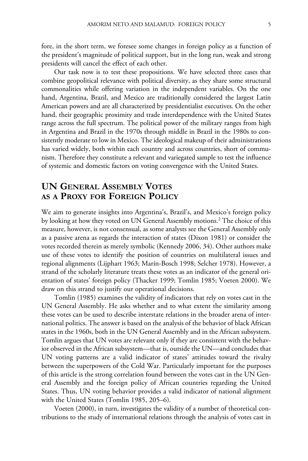fore, in the short term, we foresee some changes in foreign policy as a function of the president's magnitude of political support, but in the long run, weak and strong presidents will cancel the effect of each other.

Our task now is to test these propositions. We have selected three cases that combine geopolitical relevance with political diversity, as they share some structural commonalities while offering variation in the independent variables. On the one hand, Argentina, Brazil, and Mexico are traditionally considered the largest Latin American powers and are all characterized by presidentialist executives. On the other hand, their geographic proximity and trade interdependence with the United States range across the full spectrum. The political power of the military ranges from high in Argentina and Brazil in the 1970s through middle in Brazil in the 1980s to consistently moderate to low in Mexico. The ideological makeup of their administrations has varied widely, both within each country and across countries, short of communism. Therefore they constitute a relevant and variegated sample to test the influence of systemic and domestic factors on voting convergence with the United States.

# **UN GENERAL ASSEMBLY VOTES AS A PROXY FOR FOREIGN POLICY**

We aim to generate insights into Argentina's, Brazil's, and Mexico's foreign policy by looking at how they voted on UN General Assembly motions.<sup>2</sup> The choice of this measure, however, is not consensual, as some analysts see the General Assembly only as a passive arena as regards the interaction of states (Dixon 1981) or consider the votes recorded therein as merely symbolic (Kennedy 2006, 34). Other authors make use of these votes to identify the position of countries on multilateral issues and regional alignments (Lijphart 1963; Marín-Bosch 1998; Selcher 1978). However, a strand of the scholarly literature treats these votes as an indicator of the general orientation of states' foreign policy (Thacker 1999; Tomlin 1985; Voeten 2000). We draw on this strand to justify our operational decisions.

Tomlin (1985) examines the validity of indicators that rely on votes cast in the UN General Assembly. He asks whether and to what extent the similarity among these votes can be used to describe interstate relations in the broader arena of international politics. The answer is based on the analysis of the behavior of black African states in the 1960s, both in the UN General Assembly and in the African subsystem. Tomlin argues that UN votes are relevant only if they are consistent with the behavior observed in the African subsystem—that is, outside the UN—and concludes that UN voting patterns are a valid indicator of states' attitudes toward the rivalry between the superpowers of the Cold War. Particularly important for the purposes of this article is the strong correlation found between the votes cast in the UN General Assembly and the foreign policy of African countries regarding the United States. Thus, UN voting behavior provides a valid indicator of national alignment with the United States (Tomlin 1985, 205–6).

Voeten (2000), in turn, investigates the validity of a number of theoretical contributions to the study of international relations through the analysis of votes cast in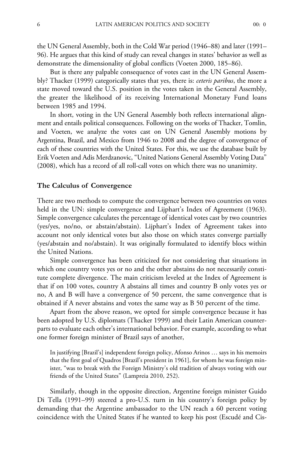the UN General Assembly, both in the Cold War period (1946–88) and later (1991– 96). He argues that this kind of study can reveal changes in states' behavior as well as demonstrate the dimensionality of global conflicts (Voeten 2000, 185–86).

But is there any palpable consequence of votes cast in the UN General Assembly? Thacker (1999) categorically states that yes, there is: *ceteris paribus*, the more a state moved toward the U.S. position in the votes taken in the General Assembly, the greater the likelihood of its receiving International Monetary Fund loans between 1985 and 1994.

In short, voting in the UN General Assembly both reflects international alignment and entails political consequences. Following on the works of Thacker, Tomlin, and Voeten, we analyze the votes cast on UN General Assembly motions by Argentina, Brazil, and Mexico from 1946 to 2008 and the degree of convergence of each of these countries with the United States. For this, we use the database built by Erik Voeten and Adis Merdzanovic, "United Nations General Assembly Voting Data" (2008), which has a record of all roll-call votes on which there was no unanimity.

#### **The Calculus of Convergence**

There are two methods to compute the convergence between two countries on votes held in the UN: simple convergence and Lijphart's Index of Agreement (1963). Simple convergence calculates the percentage of identical votes cast by two countries (yes/yes, no/no, or abstain/abstain). Lijphart's Index of Agreement takes into account not only identical votes but also those on which states converge partially (yes/abstain and no/abstain). It was originally formulated to identify blocs within the United Nations.

Simple convergence has been criticized for not considering that situations in which one country votes yes or no and the other abstains do not necessarily constitute complete divergence. The main criticism leveled at the Index of Agreement is that if on 100 votes, country A abstains all times and country B only votes yes or no, A and B will have a convergence of 50 percent, the same convergence that is obtained if A never abstains and votes the same way as B 50 percent of the time.

Apart from the above reason, we opted for simple convergence because it has been adopted by U.S. diplomats (Thacker 1999) and their Latin American counterparts to evaluate each other's international behavior. For example, according to what one former foreign minister of Brazil says of another,

In justifying [Brazil's] independent foreign policy, Afonso Arinos … says in his memoirs that the first goal of Quadros [Brazil's president in 1961], for whom he was foreign minister, "was to break with the Foreign Ministry's old tradition of always voting with our friends of the United States" (Lampreia 2010, 252).

Similarly, though in the opposite direction, Argentine foreign minister Guido Di Tella (1991–99) steered a pro-U.S. turn in his country's foreign policy by demanding that the Argentine ambassador to the UN reach a 60 percent voting coincidence with the United States if he wanted to keep his post (Escudé and Cis-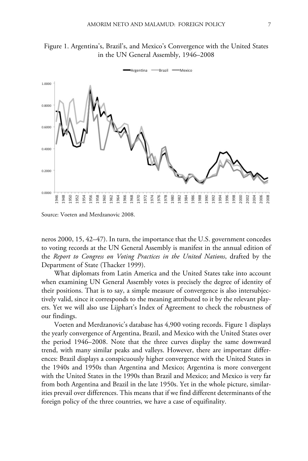



Source: Voeten and Merdzanovic 2008.

neros 2000, 15, 42–47). In turn, the importance that the U.S. government concedes to voting records at the UN General Assembly is manifest in the annual edition of the *Report to Congress on Voting Practices in the United Nations*, drafted by the Department of State (Thacker 1999).

What diplomats from Latin America and the United States take into account when examining UN General Assembly votes is precisely the degree of identity of their positions. That is to say, a simple measure of convergence is also intersubjectively valid, since it corresponds to the meaning attributed to it by the relevant players. Yet we will also use Lijphart's Index of Agreement to check the robustness of our findings.

Voeten and Merdzanovic's database has 4,900 voting records. Figure 1 displays the yearly convergence of Argentina, Brazil, and Mexico with the United States over the period 1946–2008. Note that the three curves display the same downward trend, with many similar peaks and valleys. However, there are important differences: Brazil displays a conspicuously higher convergence with the United States in the 1940s and 1950s than Argentina and Mexico; Argentina is more convergent with the United States in the 1990s than Brazil and Mexico; and Mexico is very far from both Argentina and Brazil in the late 1950s. Yet in the whole picture, similarities prevail over differences. This means that if we find different determinants of the foreign policy of the three countries, we have a case of equifinality.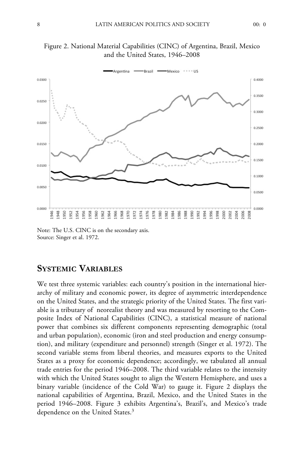

Figure 2. National Material Capabilities (CINC) of Argentina, Brazil, Mexico and the United States, 1946–2008

Note: The U.S. CINC is on the secondary axis. Source: Singer et al. 1972.

# **SYSTEMIC VARIABLES**

We test three systemic variables: each country's position in the international hierarchy of military and economic power, its degree of asymmetric interdependence on the United States, and the strategic priority of the United States. The first variable is a tributary of neorealist theory and was measured by resorting to the Composite Index of National Capabilities (CINC), a statistical measure of national power that combines six different components representing demographic (total and urban population), economic (iron and steel production and energy consumption), and military (expenditure and personnel) strength (Singer et al. 1972). The second variable stems from liberal theories, and measures exports to the United States as a proxy for economic dependence; accordingly, we tabulated all annual trade entries for the period 1946–2008. The third variable relates to the intensity with which the United States sought to align the Western Hemisphere, and uses a binary variable (incidence of the Cold War) to gauge it. Figure 2 displays the national capabilities of Argentina, Brazil, Mexico, and the United States in the period 1946–2008. Figure 3 exhibits Argentina's, Brazil's, and Mexico's trade dependence on the United States.3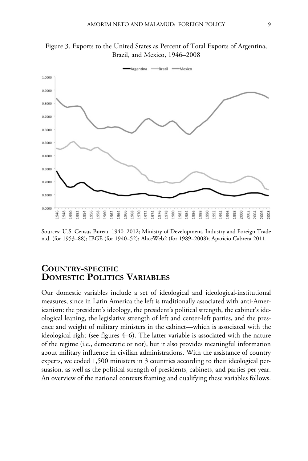

Figure 3. Exports to the United States as Percent of Total Exports of Argentina, Brazil, and Mexico, 1946–2008

Sources: U.S. Census Bureau 1940–2012; Ministry of Development, Industry and Foreign Trade n.d. (for 1953–88); IBGE (for 1940–52); AliceWeb2 (for 1989–2008); Aparicio Cabrera 2011.

# **COUNTRY-SPECIFIC DOMESTIC POLITICS VARIABLES**

Our domestic variables include a set of ideological and ideological-institutional measures, since in Latin America the left is traditionally associated with anti-Americanism: the president's ideology, the president's political strength, the cabinet's ideological leaning, the legislative strength of left and center-left parties, and the presence and weight of military ministers in the cabinet—which is associated with the ideological right (see figures 4–6). The latter variable is associated with the nature of the regime (i.e., democratic or not), but it also provides meaningful information about military influence in civilian administrations. With the assistance of country experts, we coded 1,500 ministers in 3 countries according to their ideological persuasion, as well as the political strength of presidents, cabinets, and parties per year. An overview of the national contexts framing and qualifying these variables follows.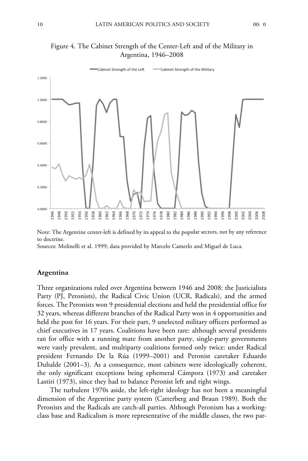

## Figure 4. The Cabinet Strength of the Center-Left and of the Military in Argentina, 1946–2008

Note: The Argentine center-left is defined by its appeal to the popular sectors, not by any reference to doctrine.

Sources: Molinelli et al. 1999; data provided by Marcelo Camerlo and Miguel de Luca.

#### **Argentina**

Three organizations ruled over Argentina between 1946 and 2008: the Justicialista Party (PJ, Peronists), the Radical Civic Union (UCR, Radicals), and the armed forces. The Peronists won 9 presidential elections and held the presidential office for 32 years, whereas different branches of the Radical Party won in 4 opportunities and held the post for 16 years. For their part, 9 unelected military officers performed as chief executives in 17 years. Coalitions have been rare: although several presidents ran for office with a running mate from another party, single-party governments were vastly prevalent, and multiparty coalitions formed only twice: under Radical president Fernando De la Rúa (1999–2001) and Peronist caretaker Eduardo Duhalde (2001–3). As a consequence, most cabinets were ideologically coherent, the only significant exceptions being ephemeral Cámpora (1973) and caretaker Lastiri (1973), since they had to balance Peronist left and right wings.

The turbulent 1970s aside, the left-right ideology has not been a meaningful dimension of the Argentine party system (Catterberg and Braun 1989). Both the Peronists and the Radicals are catch-all parties. Although Peronism has a workingclass base and Radicalism is more representative of the middle classes, the two par-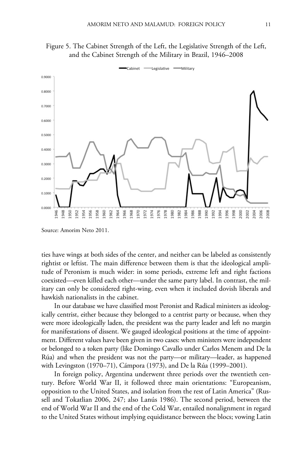

Figure 5. The Cabinet Strength of the Left, the Legislative Strength of the Left, and the Cabinet Strength of the Military in Brazil, 1946–2008

Source: Amorim Neto 2011.

ties have wings at both sides of the center, and neither can be labeled as consistently rightist or leftist. The main difference between them is that the ideological amplitude of Peronism is much wider: in some periods, extreme left and right factions coexisted—even killed each other—under the same party label. In contrast, the military can only be considered right-wing, even when it included dovish liberals and hawkish nationalists in the cabinet.

In our database we have classified most Peronist and Radical ministers as ideologically centrist, either because they belonged to a centrist party or because, when they were more ideologically laden, the president was the party leader and left no margin for manifestations of dissent. We gauged ideological positions at the time of appointment. Different values have been given in two cases: when ministers were independent or belonged to a token party (like Domingo Cavallo under Carlos Menem and De la Rúa) and when the president was not the party—or military—leader, as happened with Levingston (1970–71), Cámpora (1973), and De la Rúa (1999–2001).

In foreign policy, Argentina underwent three periods over the twentieth century. Before World War II, it followed three main orientations: "Europeanism, opposition to the United States, and isolation from the rest of Latin America" (Russell and Tokatlian 2006, 247; also Lanús 1986). The second period, between the end of World War II and the end of the Cold War, entailed nonalignment in regard to the United States without implying equidistance between the blocs; vowing Latin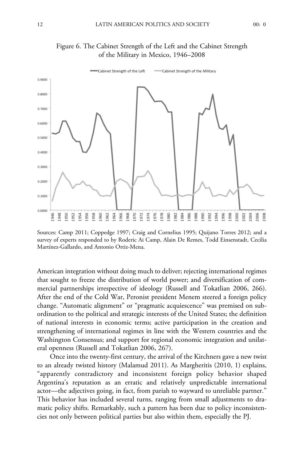



Figure 6. The Cabinet Strength of the Left and the Cabinet Strength of the Military in Mexico, 1946–2008

Sources: Camp 2011; Coppedge 1997; Craig and Cornelius 1995; Quijano Torres 2012; and a survey of experts responded to by Roderic Ai Camp, Alain De Remes, Todd Einsenstadt, Cecilia Martínez-Gallardo, and Antonio Ortiz-Mena.

American integration without doing much to deliver; rejecting international regimes that sought to freeze the distribution of world power; and diversification of commercial partnerships irrespective of ideology (Russell and Tokatlian 2006, 266). After the end of the Cold War, Peronist president Menem steered a foreign policy change. "Automatic alignment" or "pragmatic acquiescence" was premised on subordination to the political and strategic interests of the United States; the definition of national interests in economic terms; active participation in the creation and strengthening of international regimes in line with the Western countries and the Washington Consensus; and support for regional economic integration and unilateral openness (Russell and Tokatlian 2006, 267).

Once into the twenty-first century, the arrival of the Kirchners gave a new twist to an already twisted history (Malamud 2011). As Margheritis (2010, 1) explains, "apparently contradictory and inconsistent foreign policy behavior shaped Argentina's reputation as an erratic and relatively unpredictable international actor—the adjectives going, in fact, from pariah to wayward to unreliable partner." This behavior has included several turns, ranging from small adjustments to dramatic policy shifts. Remarkably, such a pattern has been due to policy inconsistencies not only between political parties but also within them, especially the PJ.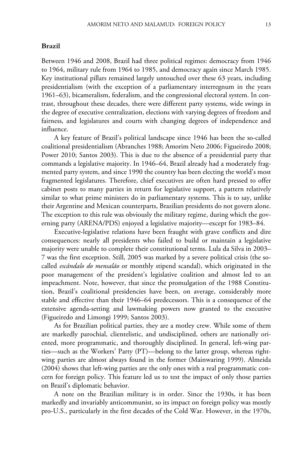#### **Brazil**

Between 1946 and 2008, Brazil had three political regimes: democracy from 1946 to 1964, military rule from 1964 to 1985, and democracy again since March 1985. Key institutional pillars remained largely untouched over these 63 years, including presidentialism (with the exception of a parliamentary interregnum in the years 1961–63), bicameralism, federalism, and the congressional electoral system. In contrast, throughout these decades, there were different party systems, wide swings in the degree of executive centralization, elections with varying degrees of freedom and fairness, and legislatures and courts with changing degrees of independence and influence.

A key feature of Brazil's political landscape since 1946 has been the so-called coalitional presidentialism (Abranches 1988; Amorim Neto 2006; Figueiredo 2008; Power 2010; Santos 2003). This is due to the absence of a presidential party that commands a legislative majority. In 1946–64, Brazil already had a moderately fragmented party system, and since 1990 the country has been electing the world's most fragmented legislatures. Therefore, chief executives are often hard pressed to offer cabinet posts to many parties in return for legislative support, a pattern relatively similar to what prime ministers do in parliamentary systems. This is to say, unlike their Argentine and Mexican counterparts, Brazilian presidents do not govern alone. The exception to this rule was obviously the military regime, during which the governing party (ARENA/PDS) enjoyed a legislative majority—except for 1983–84.

Executive-legislative relations have been fraught with grave conflicts and dire consequences: nearly all presidents who failed to build or maintain a legislative majority were unable to complete their constitutional terms. Lula da Silva in 2003– 7 was the first exception. Still, 2005 was marked by a severe political crisis (the socalled *escândalo do mensalão* or monthly stipend scandal), which originated in the poor management of the president's legislative coalition and almost led to an impeachment. Note, however, that since the promulgation of the 1988 Constitution, Brazil's coalitional presidencies have been, on average, considerably more stable and effective than their 1946–64 predecessors. This is a consequence of the extensive agenda-setting and lawmaking powers now granted to the executive (Figueiredo and Limongi 1999; Santos 2003).

As for Brazilian political parties, they are a motley crew. While some of them are markedly parochial, clientelistic, and undisciplined, others are nationally oriented, more programmatic, and thoroughly disciplined. In general, left-wing parties—such as the Workers' Party (PT)—belong to the latter group, whereas rightwing parties are almost always found in the former (Mainwaring 1999). Almeida (2004) shows that left-wing parties are the only ones with a real programmatic concern for foreign policy. This feature led us to test the impact of only those parties on Brazil's diplomatic behavior.

A note on the Brazilian military is in order. Since the 1930s, it has been markedly and invariably anticommunist, so its impact on foreign policy was mostly pro-U.S., particularly in the first decades of the Cold War. However, in the 1970s,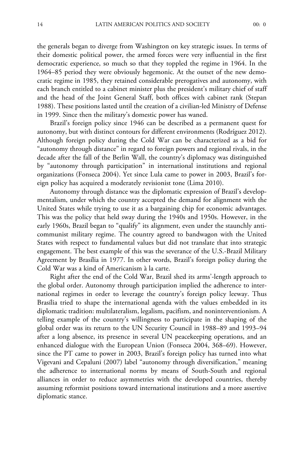the generals began to diverge from Washington on key strategic issues. In terms of their domestic political power, the armed forces were very influential in the first democratic experience, so much so that they toppled the regime in 1964. In the 1964–85 period they were obviously hegemonic. At the outset of the new democratic regime in 1985, they retained considerable prerogatives and autonomy, with each branch entitled to a cabinet minister plus the president's military chief of staff and the head of the Joint General Staff, both offices with cabinet rank (Stepan 1988). These positions lasted until the creation of a civilian-led Ministry of Defense in 1999. Since then the military's domestic power has waned.

Brazil's foreign policy since 1946 can be described as a permanent quest for autonomy, but with distinct contours for different environments (Rodríguez 2012). Although foreign policy during the Cold War can be characterized as a bid for "autonomy through distance" in regard to foreign powers and regional rivals, in the decade after the fall of the Berlin Wall, the country's diplomacy was distinguished by "autonomy through participation" in international institutions and regional organizations (Fonseca 2004). Yet since Lula came to power in 2003, Brazil's foreign policy has acquired a moderately revisionist tone (Lima 2010).

Autonomy through distance was the diplomatic expression of Brazil's developmentalism, under which the country accepted the demand for alignment with the United States while trying to use it as a bargaining chip for economic advantages. This was the policy that held sway during the 1940s and 1950s. However, in the early 1960s, Brazil began to "qualify" its alignment, even under the staunchly anticommunist military regime. The country agreed to bandwagon with the United States with respect to fundamental values but did not translate that into strategic engagement. The best example of this was the severance of the U.S.-Brazil Military Agreement by Brasília in 1977. In other words, Brazil's foreign policy during the Cold War was a kind of Americanism à la carte.

Right after the end of the Cold War, Brazil shed its arms'-length approach to the global order. Autonomy through participation implied the adherence to international regimes in order to leverage the country's foreign policy leeway. Thus Brasília tried to shape the international agenda with the values embedded in its diplomatic tradition: multilateralism, legalism, pacifism, and noninterventionism. A telling example of the country's willingness to participate in the shaping of the global order was its return to the UN Security Council in 1988–89 and 1993–94 after a long absence, its presence in several UN peacekeeping operations, and an enhanced dialogue with the European Union (Fonseca 2004, 368–69). However, since the PT came to power in 2003, Brazil's foreign policy has turned into what Vigevani and Cepaluni (2007) label "autonomy through diversification," meaning the adherence to international norms by means of South-South and regional alliances in order to reduce asymmetries with the developed countries, thereby assuming reformist positions toward international institutions and a more assertive diplomatic stance.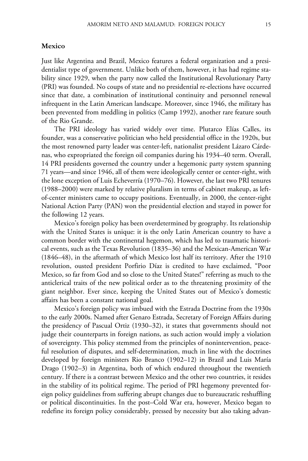#### **Mexico**

Just like Argentina and Brazil, Mexico features a federal organization and a presidentialist type of government. Unlike both of them, however, it has had regime stability since 1929, when the party now called the Institutional Revolutionary Party (PRI) was founded. No coups of state and no presidential re-elections have occurred since that date, a combination of institutional continuity and personnel renewal infrequent in the Latin American landscape. Moreover, since 1946, the military has been prevented from meddling in politics (Camp 1992), another rare feature south of the Rio Grande.

The PRI ideology has varied widely over time. Plutarco Elías Calles, its founder, was a conservative politician who held presidential office in the 1920s, but the most renowned party leader was center-left, nationalist president Lázaro Cárdenas, who expropriated the foreign oil companies during his 1934–40 term. Overall, 14 PRI presidents governed the country under a hegemonic party system spanning 71 years—and since 1946, all of them were ideologically center or center-right, with the lone exception of Luis Echeverría (1970–76). However, the last two PRI tenures (1988–2000) were marked by relative pluralism in terms of cabinet makeup, as leftof-center ministers came to occupy positions. Eventually, in 2000, the center-right National Action Party (PAN) won the presidential election and stayed in power for the following 12 years.

Mexico's foreign policy has been overdetermined by geography. Its relationship with the United States is unique: it is the only Latin American country to have a common border with the continental hegemon, which has led to traumatic historical events, such as the Texas Revolution (1835–36) and the Mexican-American War (1846–48), in the aftermath of which Mexico lost half its territory. After the 1910 revolution, ousted president Porfirio Díaz is credited to have exclaimed, "Poor Mexico, so far from God and so close to the United States!" referring as much to the anticlerical traits of the new political order as to the threatening proximity of the giant neighbor. Ever since, keeping the United States out of Mexico's domestic affairs has been a constant national goal.

Mexico's foreign policy was imbued with the Estrada Doctrine from the 1930s to the early 2000s. Named after Genaro Estrada, Secretary of Foreign Affairs during the presidency of Pascual Ortiz (1930–32), it states that governments should not judge their counterparts in foreign nations, as such action would imply a violation of sovereignty. This policy stemmed from the principles of nonintervention, peaceful resolution of disputes, and self-determination, much in line with the doctrines developed by foreign ministers Rio Branco (1902–12) in Brazil and Luis María Drago (1902–3) in Argentina, both of which endured throughout the twentieth century. If there is a contrast between Mexico and the other two countries, it resides in the stability of its political regime. The period of PRI hegemony prevented foreign policy guidelines from suffering abrupt changes due to bureaucratic reshuffling or political discontinuities. In the post–Cold War era, however, Mexico began to redefine its foreign policy considerably, pressed by necessity but also taking advan-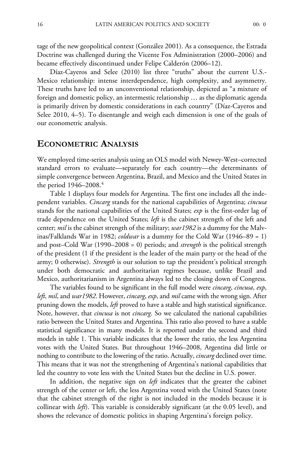tage of the new geopolitical context (González 2001). As a consequence, the Estrada Doctrine was challenged during the Vicente Fox Administration (2000–2006) and became effectively discontinued under Felipe Calderón (2006–12).

Díaz-Cayeros and Selee (2010) list three "truths" about the current U.S.- Mexico relationship: intense interdependence, high complexity, and asymmetry. These truths have led to an unconventional relationship, depicted as "a mixture of foreign and domestic policy, an intermestic relationship … as the diplomatic agenda is primarily driven by domestic considerations in each country" (Díaz-Cayeros and Selee 2010, 4–5). To disentangle and weigh each dimension is one of the goals of our econometric analysis.

## **ECONOMETRIC ANALYSIS**

We employed time-series analysis using an OLS model with Newey-West–corrected standard errors to evaluate—separately for each country—the determinants of simple convergence between Argentina, Brazil, and Mexico and the United States in the period 1946–2008.4

Table 1 displays four models for Argentina. The first one includes all the independent variables. *Cincarg* stands for the national capabilities of Argentina; *cincusa* stands for the national capabilities of the United States; *exp* is the first-order lag of trade dependence on the United States; *left* is the cabinet strength of the left and center; *mil* is the cabinet strength of the military; *war1982* is a dummy for the Malvinas/Falklands War in 1982; *coldwar* is a dummy for the Cold War (1946–89 = 1) and post–Cold War (1990–2008 = 0) periods; and *strength* is the political strength of the president (1 if the president is the leader of the main party or the head of the army; 0 otherwise). *Strength* is our solution to tap the president's political strength under both democratic and authoritarian regimes because, unlike Brazil and Mexico, authoritarianism in Argentina always led to the closing down of Congress.

The variables found to be significant in the full model were *cincarg*, *cincusa*, *exp*, *left*, *mil*, and *war1982*. However, *cincarg*, *exp*, and *mil* came with the wrong sign. After pruning down the models, *left* proved to have a stable and high statistical significance. Note, however, that *cincusa* is not *cincarg*. So we calculated the national capabilities ratio between the United States and Argentina. This ratio also proved to have a stable statistical significance in many models. It is reported under the second and third models in table 1. This variable indicates that the lower the ratio, the less Argentina votes with the United States. But throughout 1946–2008, Argentina did little or nothing to contribute to the lowering of the ratio. Actually, *cincarg* declined over time. This means that it was not the strengthening of Argentina's national capabilities that led the country to vote less with the United States but the decline in U.S. power.

In addition, the negative sign on *left* indicates that the greater the cabinet strength of the center or left, the less Argentina voted with the United States (note that the cabinet strength of the right is not included in the models because it is collinear with *left*). This variable is considerably significant (at the 0.05 level), and shows the relevance of domestic politics in shaping Argentina's foreign policy.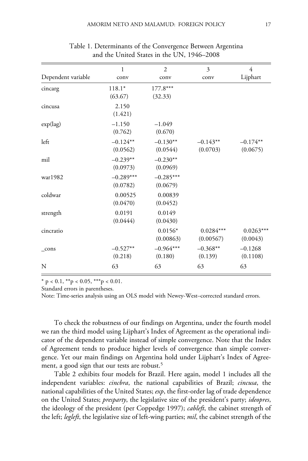|                    | $\mathbf{1}$            | $\overline{2}$          | 3                        | $\overline{4}$          |
|--------------------|-------------------------|-------------------------|--------------------------|-------------------------|
| Dependent variable | conv                    | conv                    | conv                     | Lijphart                |
| cincarg            | $118.1*$<br>(63.67)     | 177.8***<br>(32.33)     |                          |                         |
| cincusa            | 2.150<br>(1.421)        |                         |                          |                         |
| $exp(\text{lag})$  | $-1.150$<br>(0.762)     | $-1.049$<br>(0.670)     |                          |                         |
| left               | $-0.124**$<br>(0.0562)  | $-0.130**$<br>(0.0544)  | $-0.143**$<br>(0.0703)   | $-0.174**$<br>(0.0675)  |
| mil                | $-0.239**$<br>(0.0973)  | $-0.230**$<br>(0.0969)  |                          |                         |
| war1982            | $-0.289***$<br>(0.0782) | $-0.285***$<br>(0.0679) |                          |                         |
| coldwar            | 0.00525<br>(0.0470)     | 0.00839<br>(0.0452)     |                          |                         |
| strength           | 0.0191<br>(0.0444)      | 0.0149<br>(0.0430)      |                          |                         |
| cincratio          |                         | $0.0156*$<br>(0.00863)  | $0.0284***$<br>(0.00567) | $0.0263***$<br>(0.0043) |
| $_{cons}$          | $-0.527**$<br>(0.218)   | $-0.964***$<br>(0.180)  | $-0.368**$<br>(0.139)    | $-0.1268$<br>(0.1108)   |
| N                  | 63                      | 63                      | 63                       | 63                      |

Table 1. Determinants of the Convergence Between Argentina and the United States in the UN, 1946–2008

 $*$  p < 0.1,  $*$  $p$  < 0.05,  $*$  $*$  $p$  < 0.01.

Standard errors in parentheses.

Note: Time-series analysis using an OLS model with Newey-West–corrected standard errors.

To check the robustness of our findings on Argentina, under the fourth model we ran the third model using Lijphart's Index of Agreement as the operational indicator of the dependent variable instead of simple convergence. Note that the Index of Agreement tends to produce higher levels of convergence than simple convergence. Yet our main findings on Argentina hold under Lijphart's Index of Agreement, a good sign that our tests are robust.<sup>5</sup>

Table 2 exhibits four models for Brazil. Here again, model 1 includes all the independent variables: *cincbra*, the national capabilities of Brazil; *cincusa*, the national capabilities of the United States; *exp*, the first-order lag of trade dependence on the United States; *presparty*, the legislative size of the president's party; *ideopres*, the ideology of the president (per Coppedge 1997); *cableft*, the cabinet strength of the left; *legleft*, the legislative size of left-wing parties; *mil*, the cabinet strength of the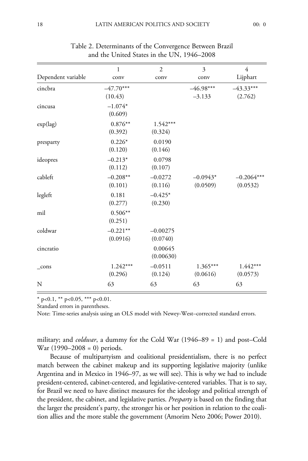|                    | 1           | $\overline{2}$ | 3           | 4            |
|--------------------|-------------|----------------|-------------|--------------|
| Dependent variable | conv        | conv           | conv        | Lijphart     |
| cincbra            | $-47.70***$ |                | $-46.98***$ | $-43.33***$  |
|                    | (10.43)     |                | $-3.133$    | (2.762)      |
| cincusa            | $-1.074*$   |                |             |              |
|                    | (0.609)     |                |             |              |
| $exp(\text{lag})$  | $0.876**$   | $1.542***$     |             |              |
|                    | (0.392)     | (0.324)        |             |              |
| presparty          | $0.226*$    | 0.0190         |             |              |
|                    | (0.120)     | (0.146)        |             |              |
| ideopres           | $-0.213*$   | 0.0798         |             |              |
|                    | (0.112)     | (0.107)        |             |              |
| cableft            | $-0.208**$  | $-0.0272$      | $-0.0943*$  | $-0.2064***$ |
|                    | (0.101)     | (0.116)        | (0.0509)    | (0.0532)     |
| legleft            | 0.181       | $-0.425*$      |             |              |
|                    | (0.277)     | (0.230)        |             |              |
| mil                | $0.506**$   |                |             |              |
|                    | (0.251)     |                |             |              |
| coldwar            | $-0.221**$  | $-0.00275$     |             |              |
|                    | (0.0916)    | (0.0740)       |             |              |
| cincratio          |             | 0.00645        |             |              |
|                    |             | (0.00630)      |             |              |
| $_{\rm cons}$      | $1.242***$  | $-0.0511$      | $1.365***$  | $1.442***$   |
|                    | (0.296)     | (0.124)        | (0.0616)    | (0.0573)     |
| N                  | 63          | 63             | 63          | 63           |

Table 2. Determinants of the Convergence Between Brazil and the United States in the UN, 1946–2008

 $*$  p<0.1,  $*$  p<0.05,  $**$  p<0.01.

Standard errors in parentheses.

Note: Time-series analysis using an OLS model with Newey-West–corrected standard errors.

military; and *coldwar*, a dummy for the Cold War (1946–89 = 1) and post–Cold War (1990–2008 = 0) periods.

Because of multipartyism and coalitional presidentialism, there is no perfect match between the cabinet makeup and its supporting legislative majority (unlike Argentina and in Mexico in 1946–97, as we will see). This is why we had to include president-centered, cabinet-centered, and legislative-centered variables. That is to say, for Brazil we need to have distinct measures for the ideology and political strength of the president, the cabinet, and legislative parties. *Presparty* is based on the finding that the larger the president's party, the stronger his or her position in relation to the coalition allies and the more stable the government (Amorim Neto 2006; Power 2010).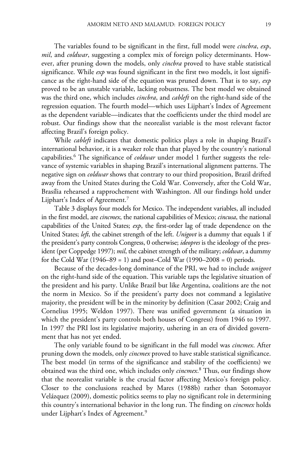The variables found to be significant in the first, full model were *cincbra*, *exp*, *mil*, and *coldwar*, suggesting a complex mix of foreign policy determinants. However, after pruning down the models, only *cincbra* proved to have stable statistical significance. While *exp* was found significant in the first two models, it lost significance as the right-hand side of the equation was pruned down. That is to say, *exp* proved to be an unstable variable, lacking robustness. The best model we obtained was the third one, which includes *cincbra*, and *cableft* on the right-hand side of the regression equation. The fourth model—which uses Lijphart's Index of Agreement as the dependent variable—indicates that the coefficients under the third model are robust. Our findings show that the neorealist variable is the most relevant factor affecting Brazil's foreign policy.

While *cableft* indicates that domestic politics plays a role in shaping Brazil's international behavior, it is a weaker role than that played by the country's national capabilities.6 The significance of *coldwar* under model 1 further suggests the relevance of systemic variables in shaping Brazil's international alignment patterns. The negative sign on *coldwar* shows that contrary to our third proposition, Brazil drifted away from the United States during the Cold War. Conversely, after the Cold War, Brasília rehearsed a rapprochement with Washington. All our findings hold under Lijphart's Index of Agreement.<sup>7</sup>

Table 3 displays four models for Mexico. The independent variables, all included in the first model, are *cincmex*, the national capabilities of Mexico; *cincusa*, the national capabilities of the United States; *exp*, the first-order lag of trade dependence on the United States; *left*, the cabinet strength of the left. *Unigovt* is a dummy that equals 1 if the president's party controls Congress, 0 otherwise; *ideopres* is the ideology of the president (per Coppedge 1997); *mil*, the cabinet strength of the military; *coldwar*, a dummy for the Cold War  $(1946–89 = 1)$  and post–Cold War  $(1990–2008 = 0)$  periods.

Because of the decades-long dominance of the PRI, we had to include *unigovt* on the right-hand side of the equation. This variable taps the legislative situation of the president and his party. Unlike Brazil but like Argentina, coalitions are the not the norm in Mexico. So if the president's party does not command a legislative majority, the president will be in the minority by definition (Casar 2002; Craig and Cornelius 1995; Weldon 1997). There was unified government (a situation in which the president's party controls both houses of Congress) from 1946 to 1997. In 1997 the PRI lost its legislative majority, ushering in an era of divided government that has not yet ended.

The only variable found to be significant in the full model was *cincmex*. After pruning down the models, only *cincmex* proved to have stable statistical significance. The best model (in terms of the significance and stability of the coefficients) we obtained was the third one, which includes only *cincmex*. <sup>8</sup> Thus, our findings show that the neorealist variable is the crucial factor affecting Mexico's foreign policy. Closer to the conclusions reached by Mares (1988b) rather than Sotomayor Velázquez (2009), domestic politics seems to play no significant role in determining this country's international behavior in the long run. The finding on *cincmex* holds under Lijphart's Index of Agreement.9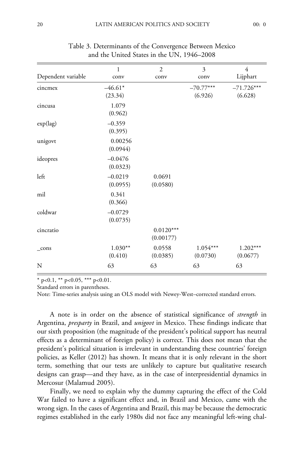| Dependent variable | 1<br>conv             | $\overline{2}$<br>conv   | 3<br>conv              | 4<br>Lijphart           |
|--------------------|-----------------------|--------------------------|------------------------|-------------------------|
| cincmex            | $-46.61*$<br>(23.34)  |                          | $-70.77***$<br>(6.926) | $-71.726***$<br>(6.628) |
| cincusa            | 1.079<br>(0.962)      |                          |                        |                         |
| $exp(\text{lag})$  | $-0.359$<br>(0.395)   |                          |                        |                         |
| unigovt            | 0.00256<br>(0.0944)   |                          |                        |                         |
| ideopres           | $-0.0476$<br>(0.0323) |                          |                        |                         |
| left               | $-0.0219$<br>(0.0955) | 0.0691<br>(0.0580)       |                        |                         |
| mil                | 0.341<br>(0.366)      |                          |                        |                         |
| coldwar            | $-0.0729$<br>(0.0735) |                          |                        |                         |
| cincratio          |                       | $0.0120***$<br>(0.00177) |                        |                         |
| $_{cons}$          | $1.030**$<br>(0.410)  | 0.0558<br>(0.0385)       | $1.054***$<br>(0.0730) | $1.202***$<br>(0.0677)  |
| N                  | 63                    | 63                       | 63                     | 63                      |

Table 3. Determinants of the Convergence Between Mexico and the United States in the UN, 1946–2008

 $p<0.1$ , \*\*  $p<0.05$ , \*\*\*  $p<0.01$ .

Standard errors in parentheses.

Note: Time-series analysis using an OLS model with Newey-West–corrected standard errors.

A note is in order on the absence of statistical significance of *strength* in Argentina, *presparty* in Brazil, and *unigovt* in Mexico. These findings indicate that our sixth proposition (the magnitude of the president's political support has neutral effects as a determinant of foreign policy) is correct. This does not mean that the president's political situation is irrelevant in understanding these countries' foreign policies, as Keller (2012) has shown. It means that it is only relevant in the short term, something that our tests are unlikely to capture but qualitative research designs can grasp—and they have, as in the case of interpresidential dynamics in Mercosur (Malamud 2005).

Finally, we need to explain why the dummy capturing the effect of the Cold War failed to have a significant effect and, in Brazil and Mexico, came with the wrong sign. In the cases of Argentina and Brazil, this may be because the democratic regimes established in the early 1980s did not face any meaningful left-wing chal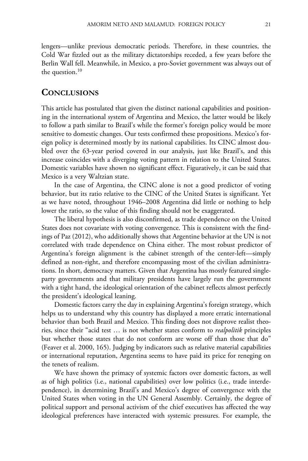lengers—unlike previous democratic periods. Therefore, in these countries, the Cold War fizzled out as the military dictatorships receded, a few years before the Berlin Wall fell. Meanwhile, in Mexico, a pro-Soviet government was always out of the question. $10$ 

# **CONCLUSIONS**

This article has postulated that given the distinct national capabilities and positioning in the international system of Argentina and Mexico, the latter would be likely to follow a path similar to Brazil's while the former's foreign policy would be more sensitive to domestic changes. Our tests confirmed these propositions. Mexico's foreign policy is determined mostly by its national capabilities. Its CINC almost doubled over the 63-year period covered in our analysis, just like Brazil's, and this increase coincides with a diverging voting pattern in relation to the United States. Domestic variables have shown no significant effect. Figuratively, it can be said that Mexico is a very Waltzian state.

In the case of Argentina, the CINC alone is not a good predictor of voting behavior, but its ratio relative to the CINC of the United States is significant. Yet as we have noted, throughout 1946–2008 Argentina did little or nothing to help lower the ratio, so the value of this finding should not be exaggerated.

The liberal hypothesis is also disconfirmed, as trade dependence on the United States does not covariate with voting convergence. This is consistent with the findings of Paz (2012), who additionally shows that Argentine behavior at the UN is not correlated with trade dependence on China either. The most robust predictor of Argentina's foreign alignment is the cabinet strength of the center-left—simply defined as non-right, and therefore encompassing most of the civilian administrations. In short, democracy matters. Given that Argentina has mostly featured singleparty governments and that military presidents have largely run the government with a tight hand, the ideological orientation of the cabinet reflects almost perfectly the president's ideological leaning.

Domestic factors carry the day in explaining Argentina's foreign strategy, which helps us to understand why this country has displayed a more erratic international behavior than both Brazil and Mexico. This finding does not disprove realist theories, since their "acid test … is not whether states conform to *realpolitik* principles but whether those states that do not conform are worse off than those that do" (Feaver et al. 2000, 165). Judging by indicators such as relative material capabilities or international reputation, Argentina seems to have paid its price for reneging on the tenets of realism.

We have shown the primacy of systemic factors over domestic factors, as well as of high politics (i.e., national capabilities) over low politics (i.e., trade interdependence), in determining Brazil's and Mexico's degree of convergence with the United States when voting in the UN General Assembly. Certainly, the degree of political support and personal activism of the chief executives has affected the way ideological preferences have interacted with systemic pressures. For example, the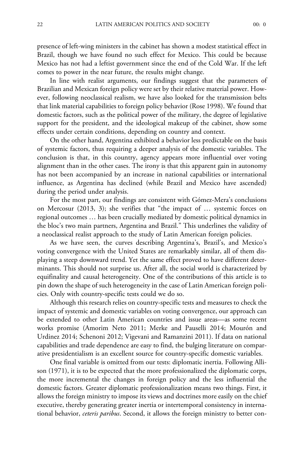presence of left-wing ministers in the cabinet has shown a modest statistical effect in Brazil, though we have found no such effect for Mexico. This could be because Mexico has not had a leftist government since the end of the Cold War. If the left comes to power in the near future, the results might change.

In line with realist arguments, our findings suggest that the parameters of Brazilian and Mexican foreign policy were set by their relative material power. However, following neoclassical realism, we have also looked for the transmission belts that link material capabilities to foreign policy behavior (Rose 1998). We found that domestic factors, such as the political power of the military, the degree of legislative support for the president, and the ideological makeup of the cabinet, show some effects under certain conditions, depending on country and context.

On the other hand, Argentina exhibited a behavior less predictable on the basis of systemic factors, thus requiring a deeper analysis of the domestic variables. The conclusion is that, in this country, agency appears more influential over voting alignment than in the other cases. The irony is that this apparent gain in autonomy has not been accompanied by an increase in national capabilities or international influence, as Argentina has declined (while Brazil and Mexico have ascended) during the period under analysis.

For the most part, our findings are consistent with Gómez-Mera's conclusions on Mercosur (2013, 3); she verifies that "the impact of … systemic forces on regional outcomes … has been crucially mediated by domestic political dynamics in the bloc's two main partners, Argentina and Brazil." This underlines the validity of a neoclassical realist approach to the study of Latin American foreign policies.

As we have seen, the curves describing Argentina's, Brazil's, and Mexico's voting convergence with the United States are remarkably similar, all of them displaying a steep downward trend. Yet the same effect proved to have different determinants. This should not surprise us. After all, the social world is characterized by equifinality and causal heterogeneity. One of the contributions of this article is to pin down the shape of such heterogeneity in the case of Latin American foreign policies. Only with country-specific tests could we do so.

Although this research relies on country-specific tests and measures to check the impact of systemic and domestic variables on voting convergence, our approach can be extended to other Latin American countries and issue areas—as some recent works promise (Amorim Neto 2011; Merke and Pauselli 2014; Mourón and Urdinez 2014; Schenoni 2012; Vigevani and Ramanzini 2011). If data on national capabilities and trade dependence are easy to find, the bulging literature on comparative presidentialism is an excellent source for country-specific domestic variables.

One final variable is omitted from our tests: diplomatic inertia. Following Allison (1971), it is to be expected that the more professionalized the diplomatic corps, the more incremental the changes in foreign policy and the less influential the domestic factors. Greater diplomatic professionalization means two things. First, it allows the foreign ministry to impose its views and doctrines more easily on the chief executive, thereby generating greater inertia or intertemporal consistency in international behavior, *ceteris paribus*. Second, it allows the foreign ministry to better con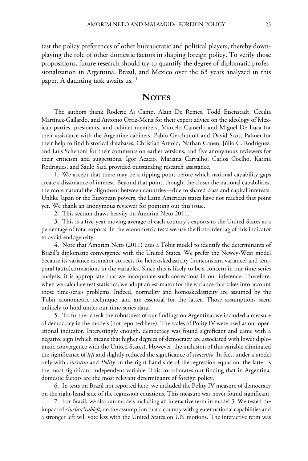test the policy preferences of other bureaucratic and political players, thereby downplaying the role of other domestic factors in shaping foreign policy. To verify those propositions, future research should try to quantify the degree of diplomatic professionalization in Argentina, Brazil, and Mexico over the 63 years analyzed in this paper. A daunting task awaits us. $^{11}$ 

# **NOTES**

The authors thank Roderic Ai Camp, Alain De Remes, Todd Eisenstadt, Cecilia Martínez-Gallardo, and Antonio Ortiz-Mena for their expert advice on the ideology of Mexican parties, presidents, and cabinet members; Marcelo Camerlo and Miguel De Luca for their assistance with the Argentine cabinets; Pablo Gerchunoff and David Scott Palmer for their help to find historical databases; Christian Arnold, Nathan Canen, Júlio C. Rodríguez, and Luis Schenoni for their comments on earlier versions; and five anonymous reviewers for their criticism and suggestions. Igor Acacio, Mariana Carvalho, Carlos Coelho, Karina Rodrigues, and Saulo Said provided outstanding research assistance.

1. We accept that there may be a tipping point before which national capability gaps create a dissonance of interest. Beyond that point, though, the closer the national capabilities, the more natural the alignment between countries—due to shared class and capital interests. Unlike Japan or the European powers, the Latin American states have not reached that point yet. We thank an anonymous reviewer for pointing out this issue.

2. This section draws heavily on Amorim Neto 2011.

3. This is a five-year moving average of each country's exports to the United States as a percentage of total exports. In the econometric tests we use the first-order lag of this indicator to avoid endogeneity.

4. Note that Amorim Neto (2011) uses a Tobit model to identify the determinants of Brazil's diplomatic convergence with the United States. We prefer the Newey-West model because its variance estimator corrects for heteroskedasticity (nonconstant variance) and temporal (auto)correlations in the variables. Since this is likely to be a concern in our time-series analysis, it is appropriate that we incorporate such corrections in our inference. Therefore, when we calculate test statistics, we adopt an estimator for the variance that takes into account those time-series problems. Indeed, normality and homoskedasticity are assumed by the Tobit econometric technique, and are essential for the latter. Those assumptions seem unlikely to hold under our time-series data.

5. To further check the robustness of our findings on Argentina, we included a measure of democracy in the models (not reported here). The scales of Polity IV were used as our operational indicator. Interestingly enough, democracy was found significant and came with a negative sign (which means that higher degrees of democracy are associated with lower diplomatic convergence with the United States). However, the inclusion of this variable eliminated the significance of *left* and slightly reduced the significance of *cincratio*. In fact, under a model only with *cincratio* and *Polity* on the right-hand side of the regression equation, the latter is the most significant independent variable. This corroborates our finding that in Argentina, domestic factors are the most relevant determinants of foreign policy.

6. In tests on Brazil not reported here, we included the Polity IV measure of democracy on the right-hand side of the regression equations. This measure was never found significant.

7. For Brazil, we also ran models including an interactive term in model 3. We tested the impact of *cincbra\*cableft*, on the assumption that a country with greater national capabilities and a stronger left will vote less with the United States on UN motions. The interactive term was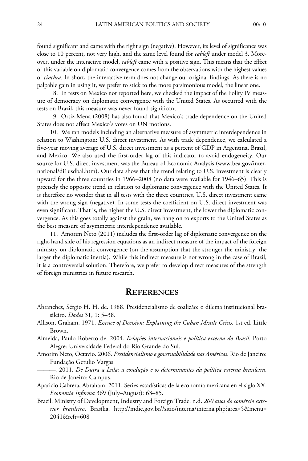found significant and came with the right sign (negative). However, its level of significance was close to 10 percent, not very high, and the same level found for *cableft* under model 3. Moreover, under the interactive model, *cableft* came with a positive sign. This means that the effect of this variable on diplomatic convergence comes from the observations with the highest values of *cincbra*. In short, the interactive term does not change our original findings. As there is no palpable gain in using it, we prefer to stick to the more parsimonious model, the linear one.

8. In tests on Mexico not reported here, we checked the impact of the Polity IV measure of democracy on diplomatic convergence with the United States. As occurred with the tests on Brazil, this measure was never found significant.

9. Ortiz-Mena (2008) has also found that Mexico's trade dependence on the United States does not affect Mexico's votes on UN motions.

10. We ran models including an alternative measure of asymmetric interdependence in relation to Washington: U.S. direct investment. As with trade dependence, we calculated a five-year moving average of U.S. direct investment as a percent of GDP in Argentina, Brazil, and Mexico. We also used the first-order lag of this indicator to avoid endogeneity. Our source for U.S. direct investment was the Bureau of Economic Analysis (www.bea.gov/international/di1usdbal.htm). Our data show that the trend relating to U.S. investment is clearly upward for the three countries in 1966–2008 (no data were available for 1946–65). This is precisely the opposite trend in relation to diplomatic convergence with the United States. It is therefore no wonder that in all tests with the three countries, U.S. direct investment came with the wrong sign (negative). In some tests the coefficient on U.S. direct investment was even significant. That is, the higher the U.S. direct investment, the lower the diplomatic convergence. As this goes totally against the grain, we hang on to exports to the United States as the best measure of asymmetric interdependence available.

11. Amorim Neto (2011) includes the first-order lag of diplomatic convergence on the right-hand side of his regression equations as an indirect measure of the impact of the foreign ministry on diplomatic convergence (on the assumption that the stronger the ministry, the larger the diplomatic inertia). While this indirect measure is not wrong in the case of Brazil, it is a controversial solution. Therefore, we prefer to develop direct measures of the strength of foreign ministries in future research.

#### **REFERENCES**

- Abranches, Sérgio H. H. de. 1988. Presidencialismo de coalizão: o dilema institucional brasileiro. *Dados* 31, 1: 5–38.
- Allison, Graham. 1971. *Essence of Decision: Explaining the Cuban Missile Crisis*. 1st ed. Little Brown.
- Almeida, Paulo Roberto de. 2004. *Relaçõe*s *internacionais e política externa do Brasil*. Porto Alegre: Universidade Federal do Rio Grande do Sul.
- Amorim Neto, Octavio. 2006. *Presidencialismo e governabilidade nas Américas*. Rio de Janeiro: Fundação Getulio Vargas.
- ———. 2011. *De Dutra a Lula: a condução e os determinantes da política externa brasileira*. Rio de Janeiro: Campus.
- Aparicio Cabrera, Abraham. 2011. Series estadísticas de la economía mexicana en el siglo XX. *Economía Informa* 369 (July–August): 63–85.
- Brazil. Ministry of Development, Industry and Foreign Trade. n.d. *200 anos do comércio exterior brasileiro*. Brasília. http://mdic.gov.br//sitio/interna/interna.php?area=5&menu= 2041&refr=608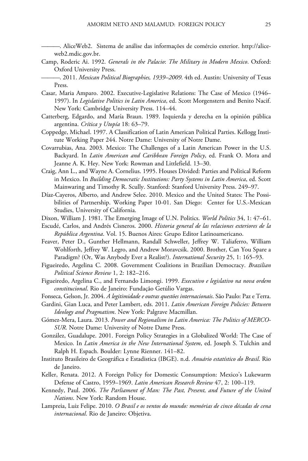———. AliceWeb2. Sistema de análise das informações de comércio exterior. http://aliceweb2.mdic.gov.br.

- Camp, Roderic Ai. 1992. *Generals in the Palacio*: *The Military in Modern Mexico*. Oxford: Oxford University Press.
- ———. 2011. *Mexican Political Biographies, 1939–2009*. 4th ed. Austin: University of Texas Press.
- Casar, Maria Amparo. 2002. Executive-Legislative Relations: The Case of Mexico (1946– 1997). In *Legislative Politics in Latin America*, ed. Scott Morgenstern and Benito Nacif. New York: Cambridge University Press. 114–44.
- Catterberg, Edgardo, and María Braun. 1989. Izquierda y derecha en la opinión pública argentina. *Crítica y Utopía* 18: 63–79.
- Coppedge, Michael. 1997. A Classification of Latin American Political Parties. Kellogg Institute Working Paper 244. Notre Dame: University of Notre Dame.
- Covarrubias, Ana. 2003. Mexico: The Challenges of a Latin American Power in the U.S. Backyard. In *Latin American and Caribbean Foreign Policy*, ed. Frank O. Mora and Jeanne A. K. Hey. New York: Rowman and Littlefield. 13–30.
- Craig, Ann L., and Wayne A. Cornelius. 1995. Houses Divided: Parties and Political Reform in Mexico. In *Building Democratic Institutions: Party Systems in Latin America*, ed. Scott Mainwaring and Timothy R. Scully. Stanford: Stanford University Press. 249–97.
- Díaz-Cayeros, Alberto, and Andrew Selee. 2010. Mexico and the United States: The Possibilities of Partnership. Working Paper 10-01. San Diego: Center for U.S.-Mexican Studies, University of California.
- Dixon, William J. 1981. The Emerging Image of U.N. Politics. *World Politics* 34, 1: 47–61.
- Escudé, Carlos, and Andrés Cisneros. 2000. *Historia general de las relaciones exteriores de la República Argentina*. Vol. 15. Buenos Aires: Grupo Editor Latinoamericano.
- Feaver, Peter D., Gunther Hellmann, Randall Schweller, Jeffrey W. Taliaferro, William Wohlforth, Jeffrey W. Legro, and Andrew Moravcsik. 2000. Brother, Can You Spare a Paradigm? (Or, Was Anybody Ever a Realist?). *International Security* 25, 1: 165–93.
- Figueiredo, Argelina C. 2008. Government Coalitions in Brazilian Democracy. *Brazilian Political Science Review* 1, 2: 182–216.
- Figueiredo, Argelina C., and Fernando Limongi. 1999. *Executivo e legislativo na nova ordem constitucional*. Rio de Janeiro: Fundação Getúlio Vargas.
- Fonseca, Gelson, Jr. 2004. *A legitimidade e outras questões internacionais*. São Paulo: Paz e Terra.
- Gardini, Gian Luca, and Peter Lambert, eds. 2011. *Latin American Foreign Policies: Between Ideology and Pragmatism*. New York: Palgrave Macmillan.
- Gómez-Mera, Laura. 2013. *Power and Regionalism in Latin America: The Politics of MERCO-SUR*. Notre Dame: University of Notre Dame Press.
- González, Guadalupe. 2001. Foreign Policy Strategies in a Globalized World: The Case of Mexico. In *Latin America in the New International System*, ed. Joseph S. Tulchin and Ralph H. Espach. Boulder: Lynne Rienner. 141–82.
- Instituto Brasileiro de Geográfica e Estadistica (IBGE). n.d. *Anuário estatístico do Brasil*. Rio de Janeiro.
- Keller, Renata. 2012. A Foreign Policy for Domestic Consumption: Mexico's Lukewarm Defense of Castro, 1959–1969. *Latin American Research Review* 47, 2: 100–119.
- Kennedy, Paul. 2006. *The Parliament of Man: The Past, Present, and Future of the United Nations*. New York: Random House.
- Lampreia, Luiz Felipe. 2010. *O Brasil e os ventos do mundo: memórias de cinco décadas de cena internacional*. Rio de Janeiro: Objetiva.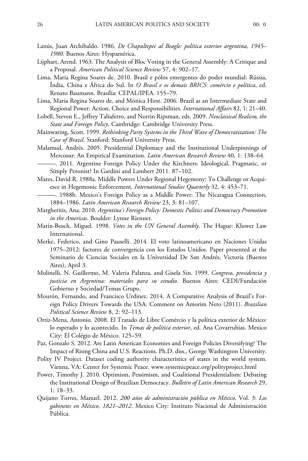- Lanús, Juan Archibaldo. 1986. *De Chapultepec al Beagle: política exterior argentina, 1945– 1980*. Buenos Aires: Hyspamérica.
- Lijphart, Arend. 1963. The Analysis of Bloc Voting in the General Assembly: A Critique and a Proposal. *American Political Science Review* 57, 4: 902–17.
- Lima, Maria Regina Soares de. 2010. Brasil e pólos emergentes do poder mundial: Rússia, Índia, China e África do Sul. In *O Brasil e os demais BRICS: comércio e política*, ed. Renato Baumann. Brasília: CEPAL/IPEA. 155–79.
- Lima, Maria Regina Soares de, and Mónica Hirst. 2006. Brazil as an Intermediate State and Regional Power: Action, Choice and Responsibilities. *International Affairs* 82, 1: 21–40.
- Lobell, Steven E., Jeffrey Taliaferro, and Norrin Ripsman, eds. 2009. *Neoclassical Realism, the State and Foreign Policy*. Cambridge: Cambridge University Press.
- Mainwaring, Scott. 1999. *Rethinking Party Systems in the Third Wave of Democratization: The Case of Brazil*. Stanford: Stanford University Press.
- Malamud, Andrés. 2005. Presidential Diplomacy and the Institutional Underpinnings of Mercosur: An Empirical Examination. *Latin American Research Review* 40, 1: 138–64.
- ———. 2011. Argentine Foreign Policy Under the Kirchners: Ideological, Pragmatic, or Simply Peronist? In Gardini and Lambert 2011. 87–102.
- Mares, David R. 1988a. Middle Powers Under Regional Hegemony: To Challenge or Acquiesce in Hegemonic Enforcement. *International Studies Quarterly* 32, 4: 453–71.
- ———. 1988b. Mexico's Foreign Policy as a Middle Power: The Nicaragua Connection, 1884–1986. *Latin American Research Review* 23, 3: 81–107.
- Margheritis, Ana. 2010. *Argentina's Foreign Policy: Domestic Politics and Democracy Promotion in the Americas*. Boulder: Lynne Rienner.
- Marín-Bosch, Miguel. 1998. *Votes in the UN General Assembly*. The Hague: Kluwer Law International.
- Merke, Federico, and Gino Pauselli. 2014. El voto latinoamericano en Naciones Unidas 1975–2012: factores de convergencia con los Estados Unidos. Paper presented at the Seminario de Ciencias Sociales en la Universidad De San Andrés, Victoria (Buenos Aires), April 3.
- Molinelli, N. Guillermo, M. Valeria Palanza, and Gisela Sin. 1999. *Congreso, presidencia y justicia en Argentina: materiales para su estudio*. Buenos Aires: CEDI/Fundación Gobierno y Sociedad/Temas Grupo.
- Mourón, Fernando, and Francisco Urdinez. 2014. A Comparative Analysis of Brazil's Foreign Policy Drivers Towards the USA: Comment on Amorim Neto (2011). *Brazilian Political Science Review* 8, 2: 92–113.
- Ortiz-Mena, Antonio. 2008. El Tratado de Libre Comércio y la política exterior de México: lo esperado y lo acontecido. In *Temas de política exterior*, ed. Ana Covarrubias. Mexico City: El Colégio de México. 125–59.
- Paz, Gonzalo S. 2012. Are Latin American Economies and Foreign Policies Diversifying? The Impact of Rising China and U.S. Reactions. Ph.D. diss., George Washington University.
- Polity IV Project. Dataset coding authority characteristics of states in the world system. Vienna, VA: Center for Systemic Peace. www.systemicpeace.org/polityproject.html
- Power, Timothy J. 2010. Optimism, Pessimism, and Coalitional Presidentialism: Debating the Institutional Design of Brazilian Democracy. *Bulletin of Latin American Research* 29, 1: 18–33.
- Quijano Torres, Manuel. 2012. *200 años de administración pública en México*. Vol. 3: *Los gabinetes en México, 1821–2012*. Mexico City: Instituto Nacional de Administración Pública.